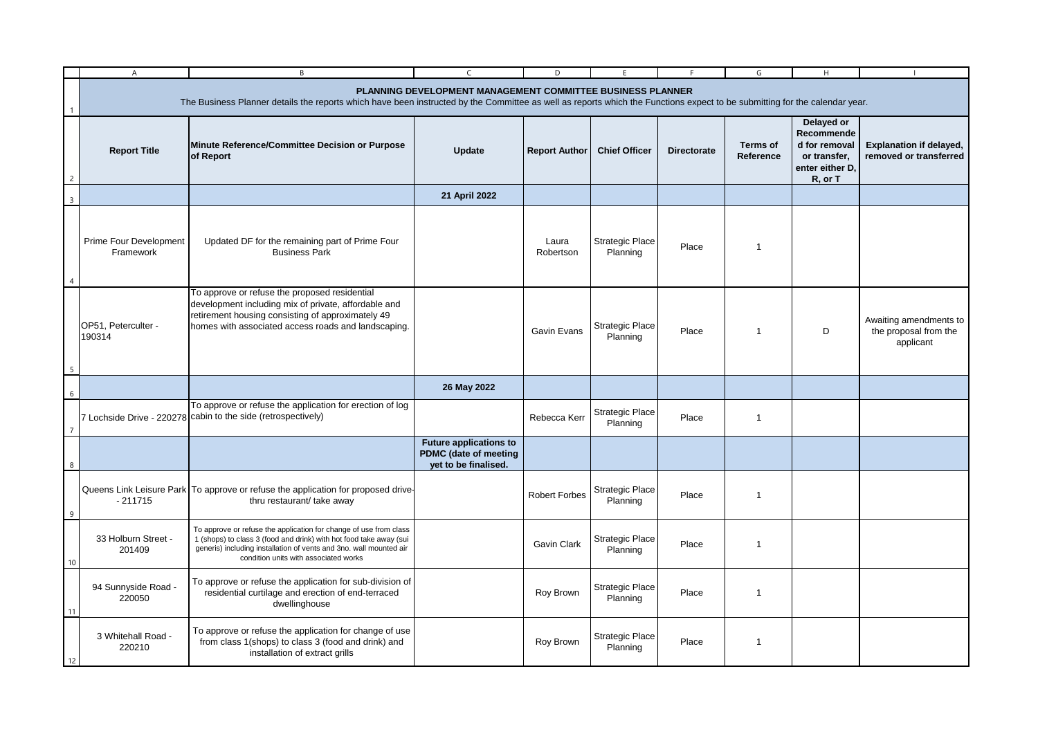|                | A                                                                                                                                                                                                                                        | B                                                                                                                                                                                                                                                      | C                                                                                     | D                    | F                                  |                    | G                            | H                                                                                       |                                                              |  |
|----------------|------------------------------------------------------------------------------------------------------------------------------------------------------------------------------------------------------------------------------------------|--------------------------------------------------------------------------------------------------------------------------------------------------------------------------------------------------------------------------------------------------------|---------------------------------------------------------------------------------------|----------------------|------------------------------------|--------------------|------------------------------|-----------------------------------------------------------------------------------------|--------------------------------------------------------------|--|
|                | PLANNING DEVELOPMENT MANAGEMENT COMMITTEE BUSINESS PLANNER<br>The Business Planner details the reports which have been instructed by the Committee as well as reports which the Functions expect to be submitting for the calendar year. |                                                                                                                                                                                                                                                        |                                                                                       |                      |                                    |                    |                              |                                                                                         |                                                              |  |
| $\overline{2}$ | <b>Report Title</b>                                                                                                                                                                                                                      | Minute Reference/Committee Decision or Purpose<br>of Report                                                                                                                                                                                            | <b>Update</b>                                                                         | <b>Report Author</b> | <b>Chief Officer</b>               | <b>Directorate</b> | <b>Terms of</b><br>Reference | Delayed or<br>Recommende<br>d for removal<br>or transfer,<br>enter either D.<br>R, or T | <b>Explanation if delayed,</b><br>removed or transferred     |  |
| $\overline{3}$ |                                                                                                                                                                                                                                          |                                                                                                                                                                                                                                                        | 21 April 2022                                                                         |                      |                                    |                    |                              |                                                                                         |                                                              |  |
|                | Prime Four Development<br>Framework                                                                                                                                                                                                      | Updated DF for the remaining part of Prime Four<br><b>Business Park</b>                                                                                                                                                                                |                                                                                       | Laura<br>Robertson   | <b>Strategic Place</b><br>Planning | Place              | -1                           |                                                                                         |                                                              |  |
|                | OP51, Peterculter -<br>190314                                                                                                                                                                                                            | To approve or refuse the proposed residential<br>development including mix of private, affordable and<br>retirement housing consisting of approximately 49<br>homes with associated access roads and landscaping.                                      |                                                                                       | <b>Gavin Evans</b>   | <b>Strategic Place</b><br>Planning | Place              | $\overline{1}$               | D                                                                                       | Awaiting amendments to<br>the proposal from the<br>applicant |  |
| 6              |                                                                                                                                                                                                                                          |                                                                                                                                                                                                                                                        | 26 May 2022                                                                           |                      |                                    |                    |                              |                                                                                         |                                                              |  |
| $\overline{7}$ |                                                                                                                                                                                                                                          | To approve or refuse the application for erection of log<br>7 Lochside Drive - 220278 cabin to the side (retrospectively)                                                                                                                              |                                                                                       | Rebecca Kerr         | <b>Strategic Place</b><br>Planning | Place              | $\mathbf{1}$                 |                                                                                         |                                                              |  |
|                |                                                                                                                                                                                                                                          |                                                                                                                                                                                                                                                        | <b>Future applications to</b><br><b>PDMC</b> (date of meeting<br>yet to be finalised. |                      |                                    |                    |                              |                                                                                         |                                                              |  |
| 9              | $-211715$                                                                                                                                                                                                                                | Queens Link Leisure Park To approve or refuse the application for proposed drive-<br>thru restaurant/ take away                                                                                                                                        |                                                                                       | <b>Robert Forbes</b> | <b>Strategic Place</b><br>Planning | Place              | $\mathbf{1}$                 |                                                                                         |                                                              |  |
| 10             | 33 Holburn Street -<br>201409                                                                                                                                                                                                            | To approve or refuse the application for change of use from class<br>1 (shops) to class 3 (food and drink) with hot food take away (sui<br>generis) including installation of vents and 3no. wall mounted air<br>condition units with associated works |                                                                                       | Gavin Clark          | <b>Strategic Place</b><br>Planning | Place              | $\overline{\mathbf{1}}$      |                                                                                         |                                                              |  |
| 11             | 94 Sunnyside Road -<br>220050                                                                                                                                                                                                            | To approve or refuse the application for sub-division of<br>residential curtilage and erection of end-terraced<br>dwellinghouse                                                                                                                        |                                                                                       | Roy Brown            | <b>Strategic Place</b><br>Planning | Place              | $\overline{\mathbf{1}}$      |                                                                                         |                                                              |  |
| 12             | 3 Whitehall Road -<br>220210                                                                                                                                                                                                             | To approve or refuse the application for change of use<br>from class 1(shops) to class 3 (food and drink) and<br>installation of extract grills                                                                                                        |                                                                                       | Roy Brown            | <b>Strategic Place</b><br>Planning | Place              | $\mathbf 1$                  |                                                                                         |                                                              |  |